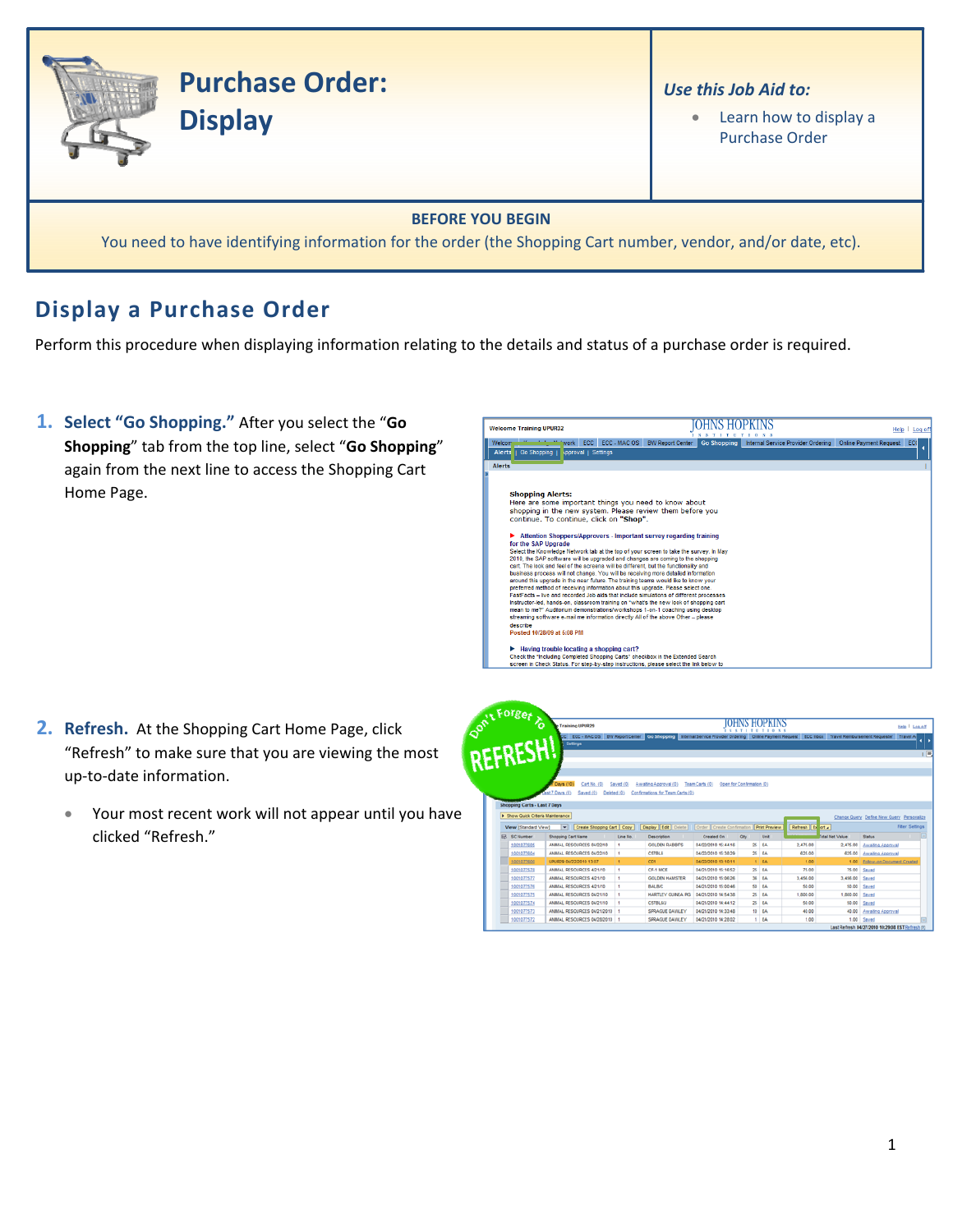

## **Display a Purchase Order**

Perform this procedure when displaying information relating to the details and status of a purchase order is required.

**1. Select "Go Shopping."** After you select the "**Go Shopping**" tab from the top line, select "**Go Shopping**" again from the next line to access the Shopping Cart Home Page.

| <b>Welcome Training UPUR32</b>                                                                                                                                                                                                                                                                                                                                                                                                                                                                                                                                                                                                                                                                                                                                                                                                                                                                                                                                                                                                      |                         |                    |                                    | Helo<br>Loa of                       |
|-------------------------------------------------------------------------------------------------------------------------------------------------------------------------------------------------------------------------------------------------------------------------------------------------------------------------------------------------------------------------------------------------------------------------------------------------------------------------------------------------------------------------------------------------------------------------------------------------------------------------------------------------------------------------------------------------------------------------------------------------------------------------------------------------------------------------------------------------------------------------------------------------------------------------------------------------------------------------------------------------------------------------------------|-------------------------|--------------------|------------------------------------|--------------------------------------|
| <b>Vonubring Network</b><br>Welcome<br>ECC - MAC OS<br><b>ECC</b>                                                                                                                                                                                                                                                                                                                                                                                                                                                                                                                                                                                                                                                                                                                                                                                                                                                                                                                                                                   | <b>BW Report Center</b> | <b>Go Shopping</b> | Internal Service Provider Ordering | <b>Online Payment Request</b><br>ECO |
| Alerts<br>Go Shopping<br><b>kpproval</b>   Settings                                                                                                                                                                                                                                                                                                                                                                                                                                                                                                                                                                                                                                                                                                                                                                                                                                                                                                                                                                                 |                         |                    |                                    |                                      |
| <b>Alerts</b>                                                                                                                                                                                                                                                                                                                                                                                                                                                                                                                                                                                                                                                                                                                                                                                                                                                                                                                                                                                                                       |                         |                    |                                    |                                      |
|                                                                                                                                                                                                                                                                                                                                                                                                                                                                                                                                                                                                                                                                                                                                                                                                                                                                                                                                                                                                                                     |                         |                    |                                    |                                      |
|                                                                                                                                                                                                                                                                                                                                                                                                                                                                                                                                                                                                                                                                                                                                                                                                                                                                                                                                                                                                                                     |                         |                    |                                    |                                      |
| <b>Shopping Alerts:</b>                                                                                                                                                                                                                                                                                                                                                                                                                                                                                                                                                                                                                                                                                                                                                                                                                                                                                                                                                                                                             |                         |                    |                                    |                                      |
| Here are some important things you need to know about                                                                                                                                                                                                                                                                                                                                                                                                                                                                                                                                                                                                                                                                                                                                                                                                                                                                                                                                                                               |                         |                    |                                    |                                      |
| shopping in the new system. Please review them before you                                                                                                                                                                                                                                                                                                                                                                                                                                                                                                                                                                                                                                                                                                                                                                                                                                                                                                                                                                           |                         |                    |                                    |                                      |
| continue. To continue, click on "Shop".                                                                                                                                                                                                                                                                                                                                                                                                                                                                                                                                                                                                                                                                                                                                                                                                                                                                                                                                                                                             |                         |                    |                                    |                                      |
| Attention Shoppers/Approvers - Important survey regarding training<br>▶<br>for the SAP Upgrade<br>Select the Knowledge Network tab at the top of your screen to take the survey. In May<br>2010, the SAP software will be upgraded and changes are coming to the shopping<br>cart. The look and feel of the screens will be different, but the functionality and<br>business process will not change. You will be receiving more detailed information<br>around this upgrade in the near future. The training teams would like to know your<br>preferred method of receiving information about this upgrade. Please select one.<br>FastFacts - live and recorded Job aids that include simulations of different processes<br>Instructor-led, hands-on, classroom training on "what's the new look of shopping cart<br>mean to me?" Auditorium demonstrations/workshops 1-on-1 coaching using desktop<br>streaming software e-mail me information directly All of the above Other - please<br>describe<br>Posted 10/28/09 at 5:08 PM |                         |                    |                                    |                                      |
| Having trouble locating a shopping cart?<br>Check the "Including Completed Shopping Carts" checkbox in the Extended Search                                                                                                                                                                                                                                                                                                                                                                                                                                                                                                                                                                                                                                                                                                                                                                                                                                                                                                          |                         |                    |                                    |                                      |
| screen in Check Status. For step-by-step instructions, please select the link below to                                                                                                                                                                                                                                                                                                                                                                                                                                                                                                                                                                                                                                                                                                                                                                                                                                                                                                                                              |                         |                    |                                    |                                      |

- **2. Refresh.** At the Shopping Cart Home Page, click "Refresh" to make sure that you are viewing the most up‐to‐date information.
	- Your most recent work will not appear until you have clicked "Refresh."

|                                     | <b>Training UPUR29</b>                                                                                                                                   |              |                                        | $X = 0$                                    |                           | <b>JOHNS HOPKINS</b><br>TIONS |                    |                |                                           | Help   Log off        |
|-------------------------------------|----------------------------------------------------------------------------------------------------------------------------------------------------------|--------------|----------------------------------------|--------------------------------------------|---------------------------|-------------------------------|--------------------|----------------|-------------------------------------------|-----------------------|
| REFRESH!                            | CC ECC - MAC OS BW Report Center Co Shopping Internal Service Provider Ordering Online Payment Request ECC Inbox Travel Reinbursement Requester Travel A |              |                                        |                                            |                           |                               |                    |                |                                           |                       |
|                                     | Settings                                                                                                                                                 |              |                                        |                                            |                           |                               |                    |                |                                           |                       |
|                                     |                                                                                                                                                          |              |                                        |                                            |                           |                               |                    |                |                                           |                       |
|                                     |                                                                                                                                                          |              |                                        |                                            |                           |                               |                    |                |                                           |                       |
|                                     |                                                                                                                                                          |              |                                        |                                            |                           |                               |                    |                |                                           |                       |
|                                     | Days (10)<br>Cart No. (0)                                                                                                                                | Saved (0)    | Awaiting Approval (0)                  | Team Carts (0)                             | Open for Confirmation (0) |                               |                    |                |                                           |                       |
|                                     | ast 7 Days (0)<br>Saved (0)<br>Deleted (0)                                                                                                               |              | Confirmations for Team Carts (0)       |                                            |                           |                               |                    |                |                                           |                       |
| <b>Shopping Carts - Last 7 Days</b> |                                                                                                                                                          |              |                                        |                                            |                           |                               |                    |                |                                           |                       |
|                                     |                                                                                                                                                          |              |                                        |                                            |                           |                               |                    |                |                                           |                       |
| F Show Quick Criteria Maintenance   |                                                                                                                                                          |              |                                        |                                            |                           |                               |                    |                |                                           |                       |
|                                     |                                                                                                                                                          |              |                                        |                                            |                           |                               |                    |                | Change Query Define New Query Personalize | <b>Fiter Settings</b> |
| View [Standard View]                | $\overline{\phantom{a}}$<br>Create Shopping Cart Copy                                                                                                    |              | <b>Display Edit Delete</b>             | Crder Create Confirmation                  |                           | Print Preview                 | Refresh De ort a   |                |                                           |                       |
| <b>IR. SC Number</b>                | <b>Shopping Cart Name</b>                                                                                                                                | Line No.     | Description                            | Created On                                 | Otv.                      | Unit                          |                    | otal Net Value | <b>Status</b>                             |                       |
| 1001077605                          | ANMAL RESOURCES 04/22/10<br>ANMAL RESOURCES 04/22/10                                                                                                     | ٠<br>٠       | <b>GOLDEN RABBITS</b><br><b>C57BL6</b> | 04/22/2010 15:44:16<br>04/22/2010 15:38:29 |                           | $25$ $BA$<br>$25$ $BA$        | 2.475.00<br>625.00 | 2.475.00       | Awalting Approval                         |                       |
| 1001077604                          |                                                                                                                                                          |              | CD1                                    |                                            |                           | 1 EA                          | 1.00               | 625.00         | Awaling Approval                          |                       |
| 1001077600<br>1001077578            | UPUR29 04/22/2010 13:07<br>ANMAL RESOURCES 4/21/10                                                                                                       | $\mathbf{A}$ | CF-1 MICE                              | 04/22/2010 13:10:11<br>04/21/2010 15:16:52 |                           | 25 EA                         | 75.00              | 1.00<br>75.00  | Eplow-on Document Created<br>Saved        |                       |
| 1001077577                          | ANMAL RESOURCES 4/21/10                                                                                                                                  | ٠            | <b>GOLDEN HAMSTER</b>                  | 04/21/2010 15:06:26                        |                           | $36$ EA                       | 3.456.00           | 3.456.00 Saved |                                           |                       |
| 1001077576                          | ANMAL RESOURCES 4/21/10                                                                                                                                  | ٠            | BALBIC                                 | 04/21/2010 15:00:46                        |                           | SO EA                         | 50.00              | 50.00          | Saved                                     |                       |
| 1001077575                          | ANMAL RESOURCES 04/21/10                                                                                                                                 | ٠            | <b>HARTLEY GUNEA PIG</b>               | 04/21/2010 14:54:38                        |                           | $25$ EA                       | 1,000.00           | 1,000.00       | Saved                                     |                       |
| 1001077574                          | ANMAL RESOURCES 04/21/10                                                                                                                                 | ٠            | <b>CS7BL6/J</b>                        | 04/21/2010 14:44:12                        |                           | 25 EA                         | 50.00              |                | 50.00 Saved                               |                       |
| 1001077573                          | ANMAL RESOURCES 04/21/2010                                                                                                                               |              | SPRAGUE DAWLEY                         | 04/21/2010 14:33:48                        |                           | 10 EA                         | 40.00              | 40.00          | Awating Approval                          |                       |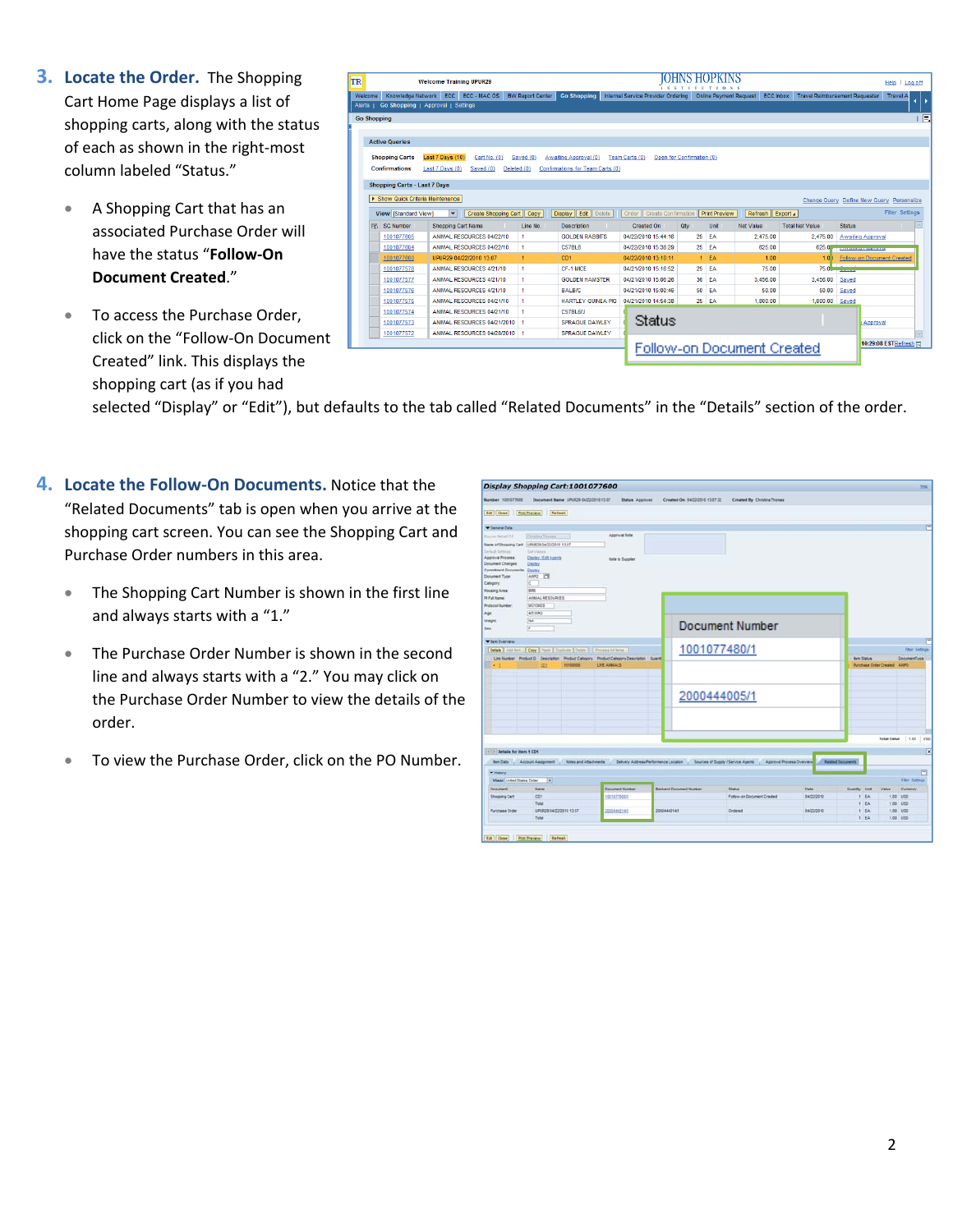- **3. Locate the Order.** The Shopping Cart Home Page displays a list of shopping carts, along with the status of each as shown in the right‐most column labeled "Status."
	- A Shopping Cart that has an associated Purchase Order will have the status "**Follow‐On Document Created**."
	- To access the Purchase Order, click on the "Follow‐On Document Created" link. This displays the shopping cart (as if you had

| TR                 |   |                                     |                           | <b>Welcome Training UPUR29</b> |                         |                                  |                                     |                           | $\overline{0}$                | $N-S$                      |                                       |                   | Help                                      | Log off       |
|--------------------|---|-------------------------------------|---------------------------|--------------------------------|-------------------------|----------------------------------|-------------------------------------|---------------------------|-------------------------------|----------------------------|---------------------------------------|-------------------|-------------------------------------------|---------------|
| Welcome            |   | Knowledge Network ECC ECC - MAC OS  |                           |                                | <b>BW Report Center</b> | <b>Go Shopping</b>               | Internal Service Provider Ordering  |                           | <b>Online Payment Request</b> | <b>ECC Inbox</b>           | <b>Travel Reimbursement Requester</b> |                   | <b>Travel A</b>                           | $\rightarrow$ |
| Alerts             |   | Go Shopping   Approval   Settings   |                           |                                |                         |                                  |                                     |                           |                               |                            |                                       |                   |                                           |               |
| <b>Go Shopping</b> |   |                                     |                           |                                |                         |                                  |                                     |                           |                               |                            |                                       |                   |                                           | 同             |
|                    |   |                                     |                           |                                |                         |                                  |                                     |                           |                               |                            |                                       |                   |                                           |               |
|                    |   | <b>Active Queries</b>               |                           |                                |                         |                                  |                                     |                           |                               |                            |                                       |                   |                                           |               |
|                    |   | <b>Shopping Carts</b>               | Last 7 Days (10)          | Cart No. (0)                   | Saved (0)               | Awaiting Approval (0)            | Team Carts (0)                      | Open for Confirmation (0) |                               |                            |                                       |                   |                                           |               |
|                    |   | <b>Confirmations</b>                | Last 7 Days (0)           | Saved (0)                      | Deleted (0)             | Confirmations for Team Carts (0) |                                     |                           |                               |                            |                                       |                   |                                           |               |
|                    |   |                                     |                           |                                |                         |                                  |                                     |                           |                               |                            |                                       |                   |                                           |               |
|                    |   | <b>Shopping Carts - Last 7 Days</b> |                           |                                |                         |                                  |                                     |                           |                               |                            |                                       |                   |                                           |               |
|                    |   | > Show Quick Criteria Maintenance   |                           |                                |                         |                                  |                                     |                           |                               |                            |                                       |                   | Change Query Define New Query Personalize |               |
|                    |   | <b>View [Standard View]</b>         | $\overline{\mathbf{v}}$   | <b>Create Shopping Cart</b>    | Copy                    | <b>Display Edit</b> Delete       | <b>Create Confirmation</b><br>Order |                           | <b>Print Preview</b>          | Refresh   Export 4         |                                       |                   | <b>Filter Settings</b>                    |               |
|                    | 凬 | <b>SC Number</b>                    | <b>Shopping Cart Name</b> |                                | Line No.                | <b>Description</b>               | Created On                          | Qtv                       | Unit                          | <b>Net Value</b>           | <b>Total Net Value</b>                | <b>Status</b>     |                                           | l e           |
|                    |   | 1001077605                          |                           | ANIMAL RESOURCES 04/22/10      | $\blacktriangleleft$    | <b>GOLDEN RABBITS</b>            | 04/22/2010 15:44:16                 | 25                        | EA                            | 2.475.00                   | 2.475.00                              | Awaiting Approval |                                           |               |
|                    |   | 1001077604                          |                           | ANIMAL RESOURCES 04/22/10      | 1                       | <b>C57BL6</b>                    | 04/22/2010 15:38:29                 |                           | 25 EA                         | 625.00                     | 625.0                                 |                   |                                           |               |
|                    |   | 1001077600                          |                           | UPUR29 04/22/2010 13:07        |                         | CD1                              | 04/22/2010 13:10:11                 |                           | $1$ EA                        | 1.00                       | 1.0                                   |                   | <b>Follow-on Document Created</b>         |               |
|                    |   | 1001077578                          |                           | ANMAL RESOURCES 4/21/10        | $\mathbf{1}$            | CF-1 MICF                        | 04/21/2010 15:16:52                 |                           | 25 EA                         | 75.00                      | 750                                   |                   |                                           |               |
|                    |   | 1001077577                          |                           | ANIMAL RESOURCES 4/21/10       | $\blacktriangleleft$    | <b>GOLDEN HAMSTER</b>            | 04/21/2010 15:06:26                 | 36                        | EA                            | 3,456.00                   | 3,456.00                              | Saved             |                                           |               |
|                    |   | 1001077576                          |                           | ANIMAL RESOURCES 4/21/10       | $\mathbf{1}$            | BALB/C                           | 04/21/2010 15:00:46                 | 50                        | EA                            | 50.00                      | 50.00                                 | Saved             |                                           |               |
|                    |   | 1001077575                          |                           | ANIMAL RESOURCES 04/21/10      | 4                       | <b>HARTLEY GUINEA PIG</b>        | 04/21/2010 14:54:38                 |                           | 25 EA                         | 1.800.00                   | 1,800.00                              | Saved             |                                           |               |
|                    |   | 1001077574                          |                           | ANIMAL RESOURCES 04/21/10      |                         | <b>C57BL6/J</b>                  |                                     |                           |                               |                            |                                       |                   |                                           |               |
|                    |   | 1001077573                          |                           | ANIMAL RESOURCES 04/21/2010    |                         | SPRAGUE DAWLEY                   | Status                              |                           |                               |                            |                                       |                   | Approval                                  |               |
|                    |   | 1001077572                          |                           | ANMAL RESOURCES 04/28/2010   1 |                         | <b>SPRAGUE DAWLEY</b>            |                                     |                           |                               |                            |                                       |                   |                                           |               |
|                    |   |                                     |                           |                                |                         |                                  |                                     |                           |                               | Follow-on Document Created |                                       |                   | 10:29:08 ESTRefresh (E)                   |               |
|                    |   |                                     |                           |                                |                         |                                  |                                     |                           |                               |                            |                                       |                   |                                           |               |

selected "Display" or "Edit"), but defaults to the tab called "Related Documents" in the "Details" section of the order.

- **4. Locate the Follow‐On Documents.** Notice that the "Related Documents" tab is open when you arrive at the shopping cart screen. You can see the Shopping Cart and Purchase Order numbers in this area.
	- The Shopping Cart Number is shown in the first line and always starts with a "1."
	- The Purchase Order Number is shown in the second line and always starts with a "2." You may click on the Purchase Order Number to view the details of the order.
	- To view the Purchase Order, click on the PO Number.

|                                                                                                                                                                      | Display Shopping Cart:1001077600                                                                                                                   |                                         |                                 |                                                                                                                                                                                  |            |                    | 225                         |
|----------------------------------------------------------------------------------------------------------------------------------------------------------------------|----------------------------------------------------------------------------------------------------------------------------------------------------|-----------------------------------------|---------------------------------|----------------------------------------------------------------------------------------------------------------------------------------------------------------------------------|------------|--------------------|-----------------------------|
| Number 1001077600                                                                                                                                                    | Document Name: UPOR29 04/22/2010 13:37                                                                                                             | <b>Status Approved</b>                  | Created On: 54/22/2515 13:87:32 | Created By Christina Thomas                                                                                                                                                      |            |                    |                             |
| Est   Close                                                                                                                                                          | Pred Preview<br>Retresh                                                                                                                            |                                         |                                 |                                                                                                                                                                                  |            |                    |                             |
| <b>W</b> Detersi Data                                                                                                                                                |                                                                                                                                                    |                                         |                                 |                                                                                                                                                                                  |            |                    |                             |
| Toy on Behalf Of<br>Default Settings<br>Approval Process.<br>Document Changes:<br>Committent Decuments Equity<br>Document Type:<br>Category:<br><b>Housing Area:</b> | Christine Thomas<br>Name of Shopping Cart. UPLIR29 04/22/2010 13:87<br>Set Values<br>Depley / Edit Agents<br><b>Docky</b><br>ANNO ITE<br>c.<br>828 | Approval Note<br><b>Note to Suppler</b> |                                 |                                                                                                                                                                                  |            |                    |                             |
| Pt Full Name:<br><b>Profocul Number:</b>                                                                                                                             | ANNIAL RESOURCES<br><b>MO10KOS</b>                                                                                                                 |                                         |                                 |                                                                                                                                                                                  |            |                    |                             |
| Age<br><b>Waight</b><br>Sex:                                                                                                                                         | 45 WAS<br>w                                                                                                                                        |                                         |                                 | <b>Document Number</b>                                                                                                                                                           |            |                    |                             |
| <b>When Overview</b>                                                                                                                                                 |                                                                                                                                                    |                                         |                                 |                                                                                                                                                                                  |            |                    |                             |
|                                                                                                                                                                      | Cetals   Addition /   Copy   Poste   Custome   Central     Present All loves /                                                                     |                                         |                                 | 1001077480/1                                                                                                                                                                     |            |                    | Fiter Settings              |
|                                                                                                                                                                      | Line Number Product D - Description - Preduct Calegory - Product Calegory Description - Quaret                                                     |                                         |                                 |                                                                                                                                                                                  |            | <b>Barn Status</b> | Decument?your               |
| EG 3                                                                                                                                                                 | 10100000<br>CEL                                                                                                                                    | <b>LIVE ANNUALS</b>                     |                                 | 2000444005/1                                                                                                                                                                     |            |                    | Purchase Order Created ANPO |
| - Details for item 1 CD1                                                                                                                                             |                                                                                                                                                    |                                         |                                 | ten Data . Account Assignment . Notes and Attachments . Delvery Address/Ferformance Location . Sources of Duppy / Service Agents . Approval Process Overview . Basiled Documents |            |                    | 1450<br>Total Value 1.10    |
| <b>Willatory</b><br><b>View: United States Dolar</b>                                                                                                                 | ъ                                                                                                                                                  |                                         |                                 |                                                                                                                                                                                  |            |                    | 門<br><b>Fiber Settings</b>  |
| <b>Cocument</b>                                                                                                                                                      | Name                                                                                                                                               | <b>Ceisment Number</b>                  | <b>Backerd Document Number</b>  | <b>Distus</b>                                                                                                                                                                    | Deta       | Quantity Unit      | Currency<br>Value           |
| Shopping Cart                                                                                                                                                        | CDT                                                                                                                                                | 10010770001                             |                                 | Fatew-on Document Created                                                                                                                                                        | 84/22/2010 | 1.84               | 1.00 1/50                   |
|                                                                                                                                                                      | Total                                                                                                                                              |                                         |                                 |                                                                                                                                                                                  |            | 1.8A               | 1.00 1/10                   |
|                                                                                                                                                                      | UPURZS BACCORNE 13:57                                                                                                                              | 20034445545                             | 2000444014/1                    | <b>Ordered</b>                                                                                                                                                                   | 64/22/2010 | 1.84               | 1.00 USD                    |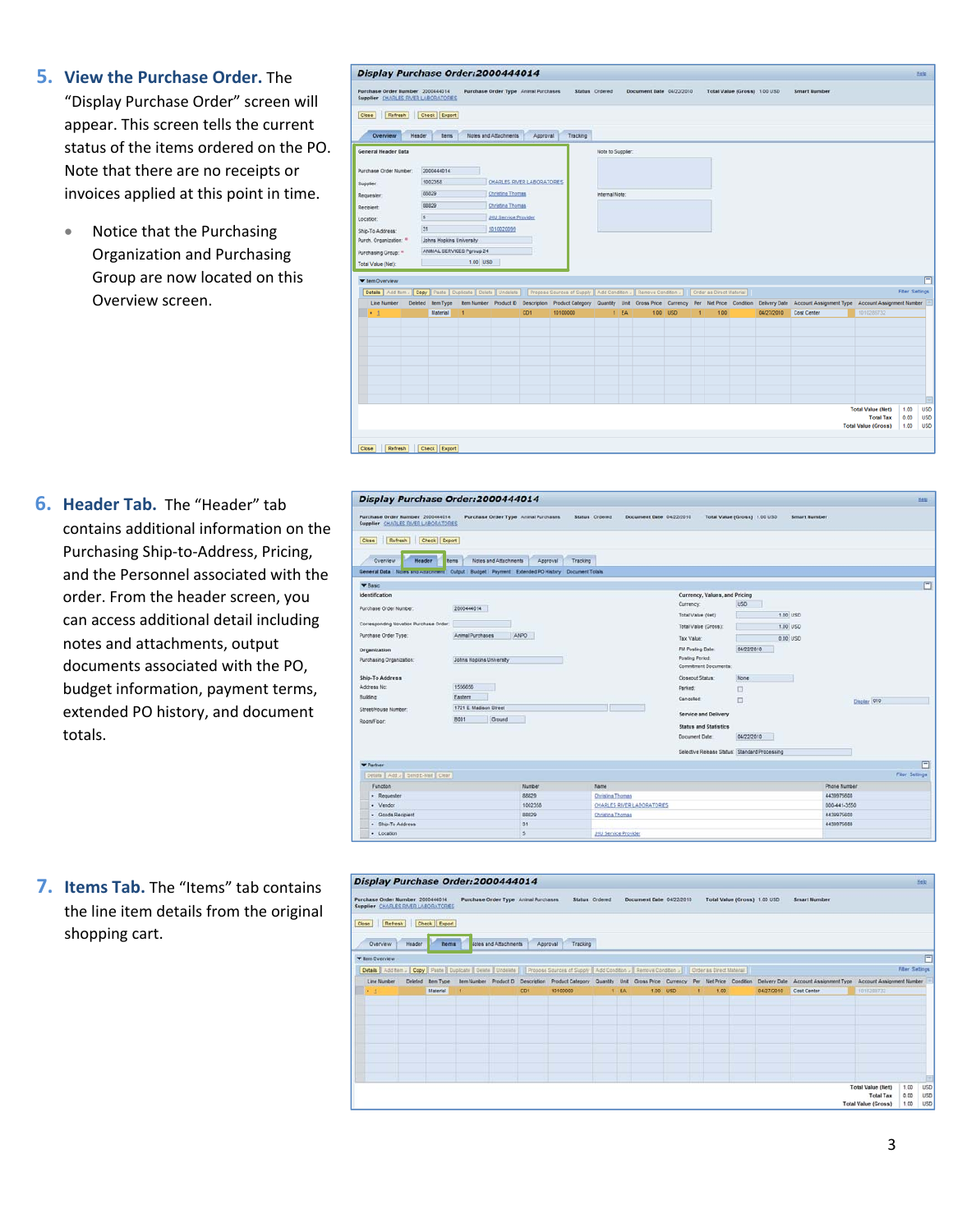- **5. View the Purchase Order.** The "Display Purchase Order" screen will appear. This screen tells the current status of the items ordered on the PO. Note that there are no receipts or invoices applied at this point in time.
	- Notice that the Purchasing Organization and Purchasing Group are now located on this Overview screen.

## Display Purchase Order:2000444014 Purchase Order Number 2000444014 Purchase Order Type Animal Purchase Order Type Animal Pur Doc nt Date 04/22/2010 Total Value (Gross) 1.00 USD Smart Numt Close Refresh Check Export Overview Header tem Notes and Atlachments Approval Tracking General Header Data Note to Supplier 200044014 1002358 CHARLES RIVER LABORATORES **Suppler** 88829 Christine Thomas lequeste 68829 Christina Thomas .<br>Recipient JHU Service Provider  $5$ ocation: Ship-To Address:  $31$ 1010020099 Purch, Organization: \* Johns Hopkins University ANMAL SERVICES Pgroup 24 urchasing Group: " **Total Value (Net** 1.00 USD ▼ tem Overview [Details | Add tem . | Copy | Paste | Duplicate | Delete | Undelete | | Propose 1 Fiter<sub>Set</sub> Line Number Deleted ItemType Item Number Product D Description Product Category Quantity Unit Gross Price Currency Per Net Price Condition Delivery Date of Assis 04/27/2010 Cost Center EA Total Value (Net)<br>Total Tax 1.00 **USD**  $0.00$ <br>1.00 **USD Total Value (Gross) USD** Close Refresh Check Export

**6. Header Tab.** The "Header" tab contains additional information on the Purchasing Ship‐to‐Address, Pricing, and the Personnel associated with the order. From the header screen, you can access additional detail including notes and attachments, output documents associated with the PO, budget information, payment terms, extended PO history, and document totals.

| <b>Display Purchase Order:2000444014</b>                                                                |                               |                                     |                                            |                                                 |                              |                     |              | Mato           |
|---------------------------------------------------------------------------------------------------------|-------------------------------|-------------------------------------|--------------------------------------------|-------------------------------------------------|------------------------------|---------------------|--------------|----------------|
| Purchase Order Number 2000444014<br>Supplier CHARLES RAVER LABORATORES                                  |                               | Purchase Order Type Anmal Purchases | Status Ordered<br>Document Date 04/22/2010 |                                                 | Total Value (Gross) 1.00 USD | <b>Smart Number</b> |              |                |
| Refresh<br>Check Export<br>Close                                                                        |                               |                                     |                                            |                                                 |                              |                     |              |                |
| Overview<br>Header                                                                                      | Notes and Attachments<br>tems | Approval                            | Tracking                                   |                                                 |                              |                     |              |                |
| General Data   Notes and Attachment   Output   Budget   Payment   Extended PO History   Document Totals |                               |                                     |                                            |                                                 |                              |                     |              |                |
| <b>V</b> Basic                                                                                          |                               |                                     |                                            |                                                 |                              |                     |              | E              |
| <b>Identification</b>                                                                                   |                               |                                     |                                            | Currency, Values, and Pricing                   |                              |                     |              |                |
| Purchase Order Number:                                                                                  | 2000444014                    |                                     |                                            | Currency:                                       | <b>USD</b>                   |                     |              |                |
|                                                                                                         |                               |                                     |                                            | Total Value (Net):                              |                              | 1.00 USD            |              |                |
| Corresponding Novation Purchase Order                                                                   |                               |                                     |                                            | Total Value (Gross):                            |                              | 1.00 USD            |              |                |
| Purchase Order Type:                                                                                    | Animal Purchases              | ANPO                                |                                            | Tax Value                                       |                              | 0.00 USD            |              |                |
| Organization                                                                                            |                               |                                     |                                            | FM Posting Date:                                | 04/22/2010                   |                     |              |                |
| Purchasing Organization:                                                                                | Johns Hopkins University      |                                     |                                            | <b>Posting Period:</b><br>Commitment Documents: |                              |                     |              |                |
| Ship-To Address                                                                                         |                               |                                     |                                            | Closeout Status:                                | None                         |                     |              |                |
| Address No:                                                                                             | 1556556                       |                                     |                                            | Parked:                                         | O                            |                     |              |                |
| <b>Building</b>                                                                                         | Eastern                       |                                     |                                            | Cancelled:                                      | O                            |                     | Disclay 010  |                |
| Street/House Number:                                                                                    | 1721 E. Madison Street        |                                     |                                            |                                                 |                              |                     |              |                |
| Room/Floor:                                                                                             | Cround<br>B001                |                                     |                                            | Service and Delivery                            |                              |                     |              |                |
|                                                                                                         |                               |                                     |                                            | <b>Status and Statistics</b>                    |                              |                     |              |                |
|                                                                                                         |                               |                                     |                                            | Document Date                                   | 04/22/2010                   |                     |              |                |
|                                                                                                         |                               |                                     |                                            | Selective Release Status: Standard Processing   |                              |                     |              |                |
| <b>Y</b> Partner                                                                                        |                               |                                     |                                            |                                                 |                              |                     |              | 闩              |
| Details Add > Send E-Mail Clear                                                                         |                               |                                     |                                            |                                                 |                              |                     |              | Fiter Settings |
| Function                                                                                                |                               |                                     |                                            |                                                 |                              |                     | Phone Number |                |
| · Requester                                                                                             |                               | Number<br>88829                     | Name<br>Chrislina Thomas                   |                                                 |                              |                     | 4438975600   |                |
| · Vendor                                                                                                |                               | 1002358                             | CHARLES RIVER LABORATORES                  |                                                 |                              |                     | 000-441-3550 |                |
| - Goods Recipient                                                                                       |                               | 80829                               | <b>Christina Thomas</b>                    |                                                 |                              |                     | 4439975600   |                |
| · Ship-To Address                                                                                       |                               | 31                                  |                                            |                                                 |                              |                     | 4439975600   |                |
| · Location                                                                                              |                               | $\leq$                              | <b>JHU Service Provider</b>                |                                                 |                              |                     |              |                |

**7. Items Tab.** The "Items" tab contains the line item details from the original shopping cart.